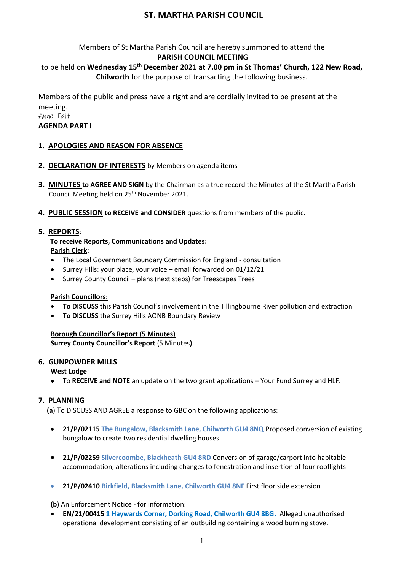Members of St Martha Parish Council are hereby summoned to attend the

## **PARISH COUNCIL MEETING**

to be held on **Wednesday 15 th December 2021 at 7.00 pm in St Thomas' Church, 122 New Road, Chilworth** for the purpose of transacting the following business.

Members of the public and press have a right and are cordially invited to be present at the meeting.

Anne Tait

# **AGENDA PART I**

# **1**. **APOLOGIES AND REASON FOR ABSENCE**

- **2. DECLARATION OF INTERESTS** by Members on agenda items
- **3. MINUTES to AGREE AND SIGN** by the Chairman as a true record the Minutes of the St Martha Parish Council Meeting held on 25<sup>th</sup> November 2021.
- **4. PUBLIC SESSION to RECEIVE and CONSIDER** questions from members of the public.

# **5. REPORTS**:

 **To receive Reports, Communications and Updates: Parish Clerk**:

- The Local Government Boundary Commission for England consultation
- Surrey Hills: your place, your voice email forwarded on 01/12/21
- Surrey County Council plans (next steps) for Treescapes Trees

## **Parish Councillors:**

- **To DISCUSS** this Parish Council's involvement in the Tillingbourne River pollution and extraction
- **To DISCUSS** the Surrey Hills AONB Boundary Review

**Borough Councillor's Report (5 Minutes) Surrey County Councillor's Report** (5 Minutes**)** 

## **6. GUNPOWDER MILLS**

**West Lodge**:

• To **RECEIVE and NOTE** an update on the two grant applications – Your Fund Surrey and HLF.

# **7. PLANNING**

**(a**) To DISCUSS AND AGREE a response to GBC on the following applications:

- **21/P/02115 The Bungalow, Blacksmith Lane, Chilworth GU4 8NQ** Proposed conversion of existing bungalow to create two residential dwelling houses.
- **21/P/02259 Silvercoombe, Blackheath GU4 8RD** Conversion of garage/carport into habitable accommodation; alterations including changes to fenestration and insertion of four rooflights
- **21/P/02410 Birkfield, Blacksmith Lane, Chilworth GU4 8NF** First floor side extension.

**(b**) An Enforcement Notice - for information:

• **EN/21/00415 1 Haywards Corner, Dorking Road, Chilworth GU4 8BG.** Alleged unauthorised operational development consisting of an outbuilding containing a wood burning stove.